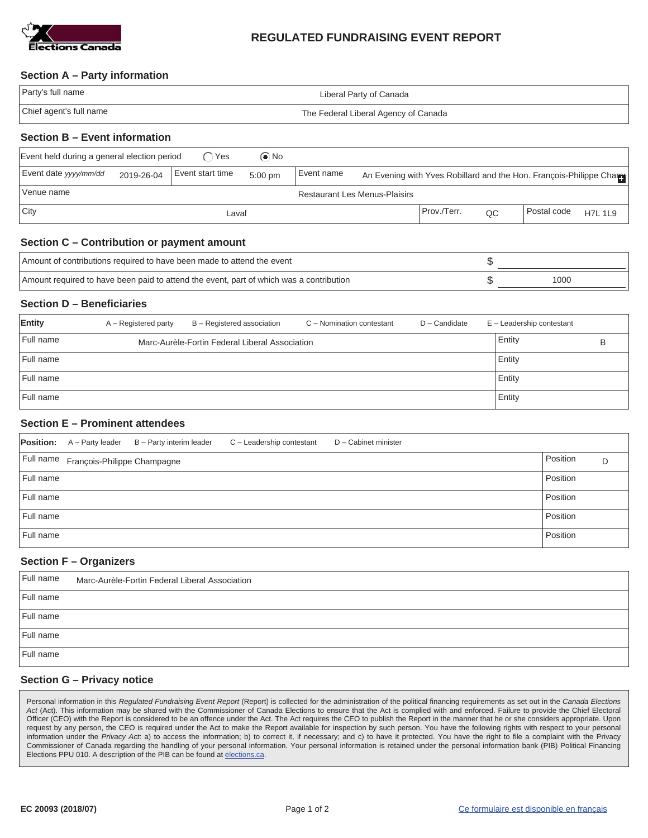

# **REGULATED FUNDRAISING EVENT REPORT**

### **Section A – Party information**

| Party's full name       | Liberal Party of Canada              |
|-------------------------|--------------------------------------|
| Chief agent's full name | The Federal Liberal Agency of Canada |

## **Section B – Event information**

| Event held during a general election period<br>$\odot$ No<br>∩Yes |            |                  |           |            |  |               |    |                                                                     |                |
|-------------------------------------------------------------------|------------|------------------|-----------|------------|--|---------------|----|---------------------------------------------------------------------|----------------|
| Event date yyyy/mm/dd                                             | 2019-26-04 | Event start time | $5:00$ pm | Event name |  |               |    | An Evening with Yves Robillard and the Hon. François-Philippe Chame |                |
| Venue name<br><b>Restaurant Les Menus-Plaisirs</b>                |            |                  |           |            |  |               |    |                                                                     |                |
| City                                                              |            | Laval            |           |            |  | l Prov./Terr. | QC | l Postal code                                                       | <b>H7L 1L9</b> |

### **Section C – Contribution or payment amount**

| Amount of contributions required to have been made to attend the event                  |      |
|-----------------------------------------------------------------------------------------|------|
| Amount required to have been paid to attend the event, part of which was a contribution | 1000 |

### **Section D – Beneficiaries**

| Entity    | A – Registered party | B - Registered association                     | C - Nomination contestant | D - Candidate | $E -$ Leadership contestant |   |
|-----------|----------------------|------------------------------------------------|---------------------------|---------------|-----------------------------|---|
| Full name |                      | Marc-Aurèle-Fortin Federal Liberal Association |                           |               | Entity                      | в |
| Full name |                      |                                                |                           |               | Entity                      |   |
| Full name |                      |                                                |                           |               | Entity                      |   |
| Full name |                      |                                                |                           |               | Entity                      |   |

### **Section E – Prominent attendees**

| <b>Position:</b> | A - Party leader                      | B - Party interim leader | C - Leadership contestant | D - Cabinet minister |          |   |
|------------------|---------------------------------------|--------------------------|---------------------------|----------------------|----------|---|
|                  | Full name François-Philippe Champagne |                          |                           |                      | Position | D |
| Full name        |                                       |                          |                           |                      | Position |   |
| Full name        |                                       |                          |                           |                      | Position |   |
| Full name        |                                       |                          |                           |                      | Position |   |
| Full name        |                                       |                          |                           |                      | Position |   |

#### **Section F – Organizers**

| Full name | Marc-Aurèle-Fortin Federal Liberal Association |
|-----------|------------------------------------------------|
| Full name |                                                |
| Full name |                                                |
| Full name |                                                |
| Full name |                                                |

### **Section G – Privacy notice**

Personal information in this *Regulated Fundraising Event Report* (Report) is collected for the administration of the political financing requirements as set out in the *Canada Elections Act* (Act). This information may be shared with the Commissioner of Canada Elections to ensure that the Act is complied with and enforced. Failure to provide the Chief Electoral Officer (CEO) with the Report is considered to be an offence under the Act. The Act requires the CEO to publish the Report in the manner that he or she considers appropriate. Upon request by any person, the CEO is required under the Act to make the Report available for inspection by such person. You have the following rights with respect to your personal information under the *Privacy Act*: a) to access the information; b) to correct it, if necessary; and c) to have it protected. You have the right to file a complaint with the Privacy Commissioner of Canada regarding the handling of your personal information. Your personal information is retained under the personal information bank (PIB) Political Financing Elections PPU 010. A description of the PIB can be found at elections.ca.